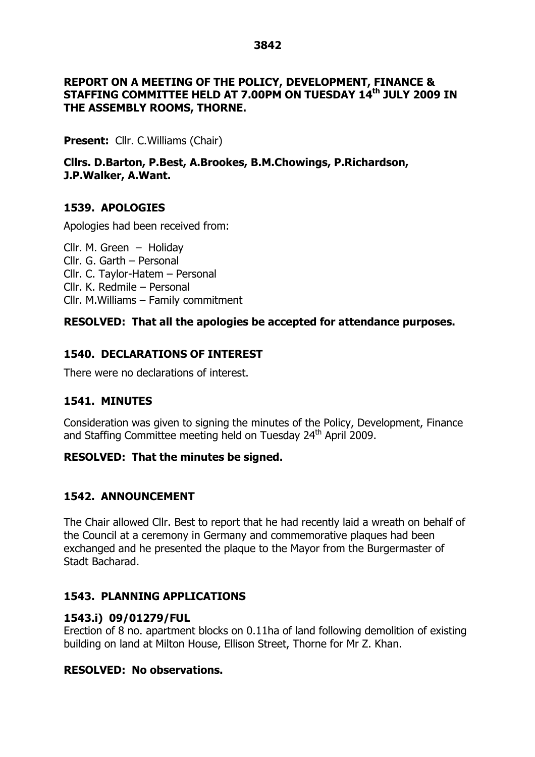#### **REPORT ON A MEETING OF THE POLICY, DEVELOPMENT, FINANCE & STAFFING COMMITTEE HELD AT 7.00PM ON TUESDAY 14th JULY 2009 IN THE ASSEMBLY ROOMS, THORNE.**

**Present:** Cllr. C. Williams (Chair)

**Cllrs. D.Barton, P.Best, A.Brookes, B.M.Chowings, P.Richardson, J.P.Walker, A.Want.**

# **1539. APOLOGIES**

Apologies had been received from:

Cllr. M. Green – Holiday Cllr. G. Garth – Personal Cllr. C. Taylor-Hatem - Personal Cllr. K. Redmile – Personal  $Clrr.$  M. Williams – Family commitment

# **RESOLVED: That all the apologies be accepted for attendance purposes.**

# **1540. DECLARATIONS OF INTEREST**

There were no declarations of interest.

# **1541. MINUTES**

Consideration was given to signing the minutes of the Policy, Development, Finance and Staffing Committee meeting held on Tuesday 24<sup>th</sup> April 2009.

# **RESOLVED: That the minutes be signed.**

# **1542. ANNOUNCEMENT**

The Chair allowed Cllr. Best to report that he had recently laid a wreath on behalf of the Council at a ceremony in Germany and commemorative plaques had been exchanged and he presented the plaque to the Mayor from the Burgermaster of Stadt Bacharad.

# **1543. PLANNING APPLICATIONS**

# **1543.i) 09/01279/FUL**

Erection of 8 no. apartment blocks on 0.11ha of land following demolition of existing building on land at Milton House, Ellison Street, Thorne for Mr Z. Khan.

# **RESOLVED: No observations.**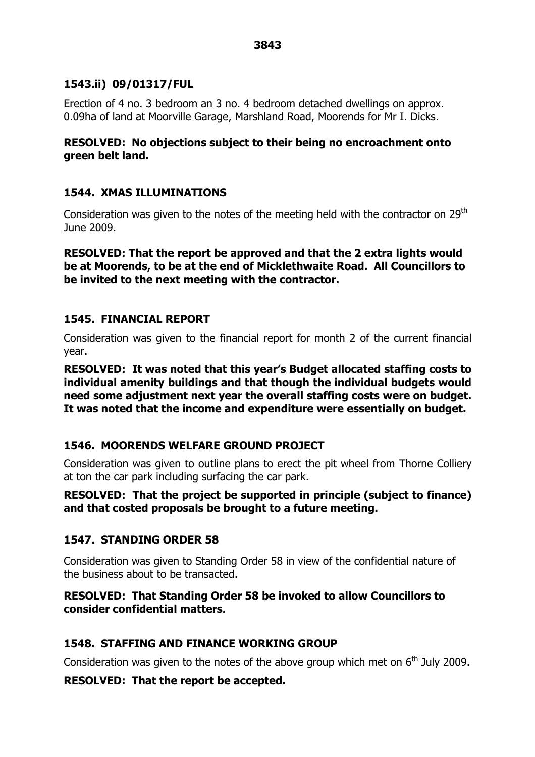# **1543.ii) 09/01317/FUL**

Erection of 4 no. 3 bedroom an 3 no. 4 bedroom detached dwellings on approx. 0.09ha of land at Moorville Garage, Marshland Road, Moorends for Mr I. Dicks.

# **RESOLVED: No objections subject to their being no encroachment onto green belt land.**

# **1544. XMAS ILLUMINATIONS**

Consideration was given to the notes of the meeting held with the contractor on 29<sup>th</sup> June 2009.

**RESOLVED: That the report be approved and that the 2 extra lights would be at Moorends, to be at the end of Micklethwaite Road. All Councillors to be invited to the next meeting with the contractor.**

# **1545. FINANCIAL REPORT**

Consideration was given to the financial report for month 2 of the current financial year.

**RESOLVED: It was noted that this year's Budget allocated staffing costs to individual amenity buildings and that though the individual budgets would need some adjustment next year the overall staffing costs were on budget. It was noted that the income and expenditure were essentially on budget.**

# **1546. MOORENDS WELFARE GROUND PROJECT**

Consideration was given to outline plans to erect the pit wheel from Thorne Colliery at ton the car park including surfacing the car park.

# **RESOLVED: That the project be supported in principle (subject to finance) and that costed proposals be brought to a future meeting.**

# **1547. STANDING ORDER 58**

Consideration was given to Standing Order 58 in view of the confidential nature of the business about to be transacted.

# **RESOLVED: That Standing Order 58 be invoked to allow Councillors to consider confidential matters.**

# **1548. STAFFING AND FINANCE WORKING GROUP**

Consideration was given to the notes of the above group which met on  $6<sup>th</sup>$  July 2009.

# **RESOLVED: That the report be accepted.**